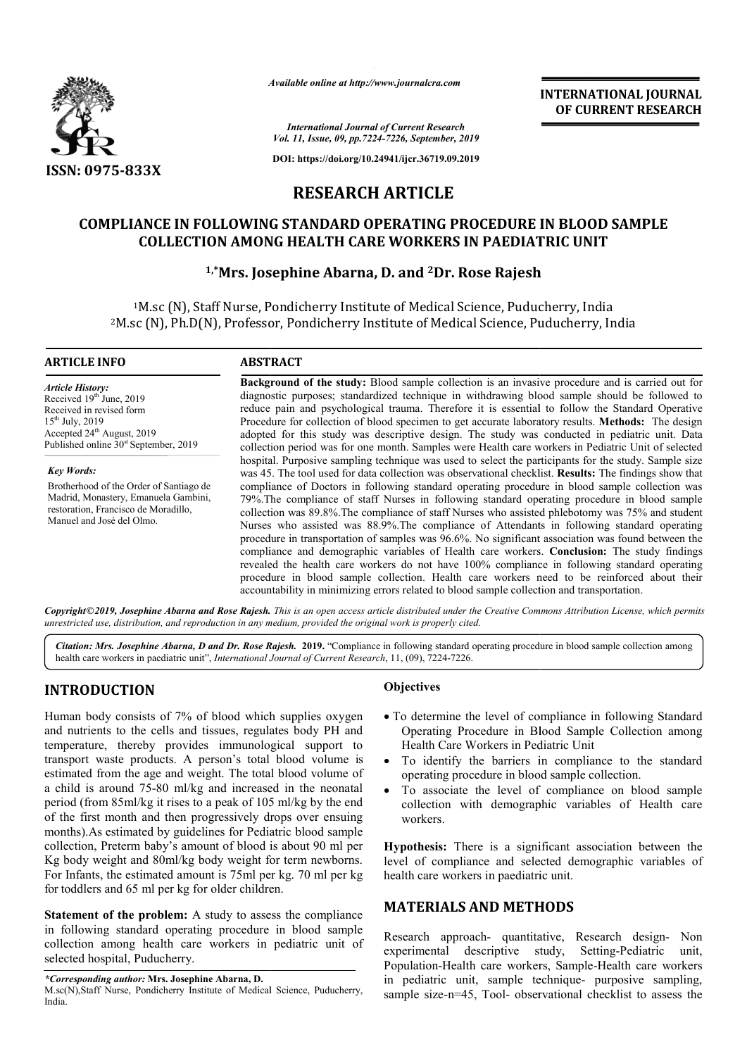

*Available online at http://www.journalcra.com*

**INTERNATIONAL JOURNAL OF CURRENT RESEARCH**

*International Journal of Current Research Vol. 11, Issue, 09, pp.7224-7226, September, 2019*

**DOI: https://doi.org/10.24941/ijcr.36719.09.2019**

# **RESEARCH ARTICLE**

# **COMPLIANCE IN FOLLOWING STANDARD OPERATING PROCEDURE IN BLOOD SAMPLE**<br>COLLECTION AMONG HEALTH CARE WORKERS IN PAEDIATRIC UNIT<br><sup>1,\*</sup>Mrs. Josephine Abarna, D. and <sup>2</sup>Dr. Rose Rajesh **COLLECTION AMONG HEALTH CARE WORKERS IN PAEDIATRIC UNIT**

## **1,\*Mrs. Josephine Mrs. Abarna, D. and 2Dr. Rose Rajesh**

1M.sc (N), Staff Nurse, Pondicherry Institute of Medical Science, Puducherry, India <sup>1</sup>M.sc (N), Staff Nurse, Pondicherry Institute of Medical Science, Puducherry, India<br><sup>2</sup>M.sc (N), Ph.D(N), Professor, Pondicherry Institute of Medical Science, Puducherry, India

### **ARTICLE INFO ABSTRACT**

*Article History:* Received 19<sup>th</sup> June, 2019 Received in revised form  $15^{th}$  July,  $2019$ Accepted 24<sup>th</sup> August, 2019 Published online  $30<sup>st</sup>$  September, 2019

*Key Words:* Brotherhood of the Order of Santiago de Madrid, Monastery, Emanuela Gambini, restoration, Francisco de Moradillo, Manuel and José del Olmo.

Background of the study: Blood sample collection is an invasive procedure and is carried out for Background of the study: Blood sample collection is an invasive procedure and is carried out for diagnostic purposes; standardized technique in withdrawing blood sample should be followed to reduce pain and psychological trauma. Therefore it is essential to follow the Standard Operative reduce pain and psychological trauma. Therefore it is essential to follow the Standard Operative<br>Procedure for collection of blood specimen to get accurate laboratory results. Methods: The design adopted for this study was descriptive design. The study was conducted in pediatric unit. Data collection period was for one month. Samples were Health care workers in Pediatric Unit of selected hospital. Purposive sampling technique was used to select the participants for the study. Sample size was 45. The tool used for data collection was observational checklist. **Results:** The findings show that compliance of Doctors in following standard operating procedure in blood sample collection was 79%.The compliance of staff Nurses in following standard operating procedure in blood sample collection was 89.8%.The compliance of staff Nurses who assisted phlebotomy was 75% and student Nurses who assisted was 88.9%.The compliance of Attendants in following standard operating procedure in transportation of samples was 96.6%. No significant association was found between the compliance and demographic variables of Health care workers. Conclusion: The study findings revealed the health care workers do not have 100% compliance in following standard operating procedure in blood sample collection. Health care workers need to be reinforced about their accountability in minimizing errors related to blood sample collection and transportation. accountability in minimizing errors related to blood sample collection and transportation. adopted for this study was descriptive design. The study was conducted in pediatric unit. Data collection period was for one month. Samples were Health care workers in Pediatric Unit of selected<br>hospital. Purposive samplin compliance of Doctors in following standard operating procedure in blood sample collection was 89.8%. The compliance of staff Nurses who assisted phlebotomy was 75% and student Nurses who assisted was 88.9%. The compliance observational to

Copyright©2019, Josephine Abarna and Rose Rajesh. This is an open access article distributed under the Creative Commons Attribution License, which permits *unrestricted use, distribution, and reproduction in any medium, provided the original work is properly cited.*

Citation: Mrs. Josephine Abarna, D and Dr. Rose Rajesh. 2019. "Compliance in following standard operating procedure in blood sample collection among health care workers in paediatric unit", *International Journal of Current Research*, 11, (09), 7224-7226.

### **INTRODUCTION**

Human body consists of 7% of blood which supplies oxygen and nutrients to the cells and tissues, regulates body PH and temperature, thereby provides immunological support to transport waste products. A person's total blood volume is estimated from the age and weight. The total blood volume of a child is around 75-80 ml/kg and increased in the neonatal period (from 85ml/kg it rises to a peak of 105 ml/kg by the end of the first month and then progressively drops over ensuing months).As estimated by guidelines for Pediatric blood sample collection, Preterm baby's amount of blood is about 90 ml per Kg body weight and 80ml/kg body weight for term newborns. For Infants, the estimated amount is 75ml per kg. 70 ml per kg for toddlers and 65 ml per kg for older children. **Objectives**<br>
of 7% of blood which supplies oxygen<br>
ells and tissues, regulates body PH and<br>
provides immunological support to<br>
lealth<br>
ucts. A person's total blood volume is<br>
e and weight. The total blood volume of<br>
80 ml

**Statement of the problem:** A study to assess the compliance in following standard operating procedure in blood sample collection among health care workers in pediatric unit of selected hospital, Puducherry.

*\*Corresponding author:* **Mrs. Josephine Abarna, D.** 

- To determine the level of compliance in following Standard Operating Procedure in Blood Sample Collection among Health Care Workers in Pediatric Unit
- To identify the barriers in compliance to the standard operating procedure in blood sample collection.
- To associate the level of compliance on blood sample collection with demographic variables of Health care workers. o determine the level of compliance in following Standard<br>Operating Procedure in Blood Sample Collection among<br>Health Care Workers in Pediatric Unit<br>To identify the barriers in compliance to the standard<br>operating procedur

**Hypothesis:** There is a significant association between the level of compliance and selected demographic variables of health care workers in paediatric unit.

### **MATERIALS AND METHODS METHODS**

Research approach- quantitative, Research design- Non experimental descriptive study, Setting-Pediatric unit, Population-Health care workers, Sample-Health care workers in pediatric unit, sample technique- purposive sampling, sample size-n=45, Tool- observational checklist to assess the

M.sc(N),Staff Nurse, Pondicherry Institute of Medical Science, Puducherry, India.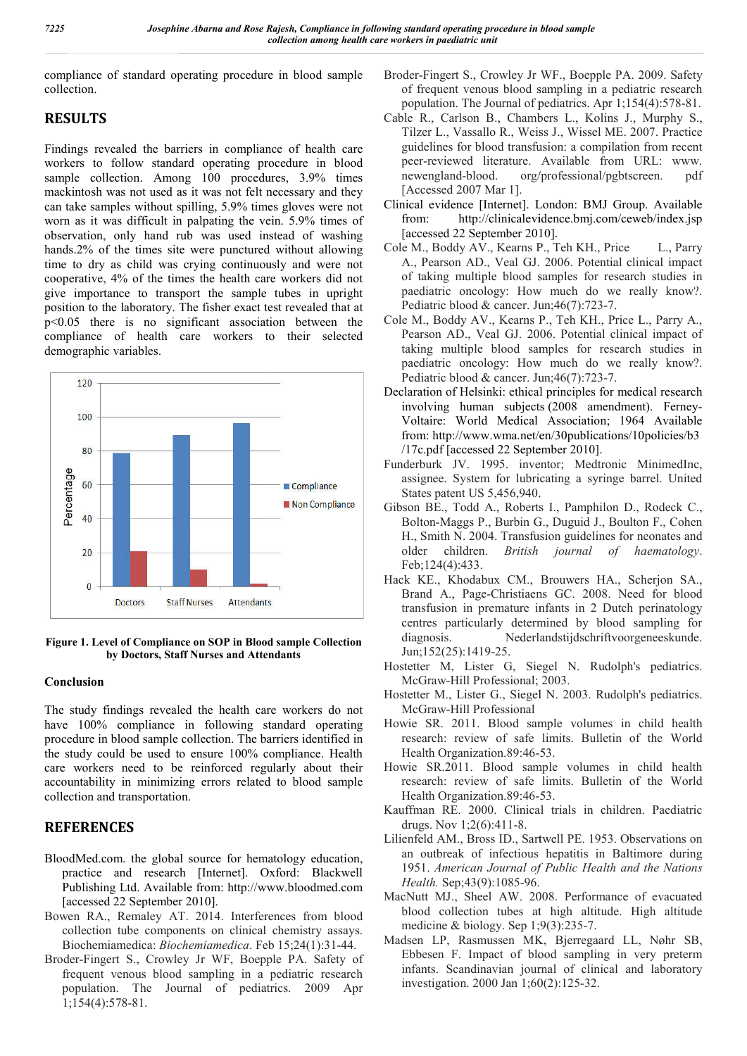compliance of standard operating procedure in blood s sample collection.

## **RESULTS**

Findings revealed the barriers in compliance of health care workers to follow standard operating procedure in blood sample collection. Among 100 procedures, 3.9% times mackintosh was not used as it was not felt necessary and they can take samples without spilling, 5.9% times gloves were not worn as it was difficult in palpating the vein. 5.9% times of observation, only hand rub was used instead of washing hands.2% of the times site were punctured without allowing time to dry as child was crying continuously and were not cooperative, 4% of the times the health care workers did not give importance to transport the sample tubes in upright position to the laboratory. The fisher exact test revealed that at p<0.05 there is no significant association between the compliance of health care workers to their selected demographic variables.



**Figure 1. Level of Compliance on SOP in Blood sample Collection by Doctors, Staff Nurses and Attendants**

### **Conclusion**

The study findings revealed the health care workers do not have 100% compliance in following standard operating procedure in blood sample collection. The barriers identified in the study could be used to ensure 100% compliance. Health care workers need to be reinforced regularly about their accountability in minimizing errors related to blood sample collection and transportation.

# **REFERENCES**

- BloodMed.com. the global source for hematology education, practice and research [Internet]. Oxford: Blackwell Publishing Ltd. Available from: http://www.bloodmed.com [accessed 22 September 2010].
- Bowen RA., Remaley AT. 2014. Interferences from blood collection tube components on clinical chemistry assays. Biochemiamedica: *Biochemiamedica*. Feb 15;24(1):31 15;24(1):31-44.
- Broder-Fingert S., Crowley Jr WF, Boepple PA. Safety of frequent venous blood sampling in a pediatric research population. The Journal of pediatrics. 2009 Apr 1;154(4):578-81.
- of frequent venous blood sampling in a pediatric research of frequent venous blood sampling in a pediatric research population. The Journal of pediatrics. Apr 1;154(4):578-81. Broder-Fingert S., Crowley Jr WF., Boepple PA. 2009. Safety
- Cable R., Carlson B., Chambers L L., Kolins J., Murphy S., Tilzer L., Vassallo R., Weiss J., Wissel ME. 2007. Practice guidelines for blood transfusion: a compilation from recent peer-reviewed literature. Available from URL: www. newengland-blood. org/professional/pgbtscreen. [Accessed 2007 Mar 1]. compilation reviewed Interature. Available from URL: www.<br>ngland-blood. org/professional/pgbtscreen. pdf
- Clinical evidence [Internet]. London: BMJ Group. Available from: http://clinicalevidence.bmj.com/ceweb/index.jsp [accessed 22 September 2010]. London: BMJ Group. Available<br>vidence.bmj.com/ceweb/index.jsp<br>110].<br>P., Teh KH., Price L., Parry
- Cole M., Boddy AV., Kearns P A., Pearson AD., Veal GJ. 2006. Potential clinical impact of taking multiple blood samples for research studies in paediatric oncology: How much do we really know?.<br>Pediatric blood & cancer. Jun;46(7):723-7. paediatric oncology: How much do we really know?. Pediatric blood & cancer. Jun;46(7):723-7.
- Cole M., Boddy AV., Kearns P., Teh KH., Price L., Parry A., Pearson AD., Veal GJ. 2006. Potential clinical impact of taking multiple blood samples for research studies in paediatric oncology: How much do we really know?. Pediatric blood & cancer. Jun; 46(7): 723-7. taking multiple blood samples for research strangediatric oncology: How much do we really Pediatric blood  $\&$  cancer. Jun;46(7):723-7.
- Declaration of Helsinki: ethical principles for medical research involving human subjects (2008 amendment). Ferney-Voltaire: World Medical Association; 1964 Available from: http://www.wma.net/en/30publications/10policies/b3 /17c.pdf [accessed 22 September 2010].
- Funderburk JV. 1995. inventor; Medtronic MinimedInc, assignee. System for lubricating a syringe barrel. United States patent US 5,456,940. from: http://www.wma.net/en/30publications/10policies/b3<br>
/17c.pdf [accessed 22 September 2010].<br>
Funderburk JV. 1995. inventor; Medtronic MinimedInc,<br>
assignee. System for lubricating a syringe barrel. United<br>
States pate
- Bolton-Maggs P., Burbin G , Burbin G., Duguid J., Boulton F., Cohen H., Smith N. 2004. Transfusion guidelines for neonates and H., Smith N. 2004. Transfusion guidelines for neonates and older children. *British journal of haematology*. Feb;124(4):433.
- Hack KE., Khodabux CM., Brouwers HA., Scherjon SA., Brand A., Page-Christiaens GC. 2008. Need for blood transfusion in premature infants in 2 Dutch perinatology centres particularly determined by blood sampling for diagnosis. Nederlandstijdschriftvoorgeneeskunde. Jun;152(25):1419-25. transfusion in premature infants in 2 Dutch perinatology<br>centres particularly determined by blood sampling for<br>diagnosis. Nederlandstijdschriftvoorgeneeskunde.<br>Jun;152(25):1419-25.<br>Hostetter M, Lister G, Siegel N. Rudolph'
- McGraw-Hill Professional; 2003.
- McGraw-Hill Professional; 2003.<br>Hostetter M., Lister G., Siegel N. 2003. Rudolph's pediatrics. McGraw-Hill Professional
- Howie SR. 2011. Blood sample volumes in child health research: review of safe limits. Bulletin of the World Health Organization.89:46-53. lood sample volumes in child health<br>of safe limits. Bulletin of the World<br>pn.89:46-53.
- Howie SR.2011. Blood sample volumes in child health research: review of safe limits. Bulletin of the World Health Organization.89:46-53. ood sample volumes in child<br>of safe limits. Bulletin of the<br>n.89:46-53.
- Kauffman RE. 2000. Clinical trials in children. Paediatric drugs. Nov 1;2(6):411-8. Kauffman RE. 2000. Clinical trials in children. Paediatric drugs. Nov 1;2(6):411-8.<br>Lilienfeld AM., Bross ID., Sartwell PE. 1953. Observations on
- an outbreak of infectious hepatitis in Baltimore during hepatitis in Baltimore 1951. American Journal of Public Health and the Nations Health. Sep; 43(9): 1085-96.
- MacNutt MJ., Sheel AW. 2008. Performance of evacuated blood collection tubes at high altitude. High altitude medicine & biology. Sep  $1;9(3):235-7$ .
- Madsen LP, Rasmussen MK, Bjerregaard LL, Nøhr SB, Ebbesen F. Impact of blood sampling in very preterm infants. Scandinavian journal of clinical and laboratory investigation. 2000 Jan 1;60(2):125-32. LP, Rasmussen MK, Bjerregaard LL, en F. Impact of blood sampling in ve s. Scandinavian journal of clinical and igation. 2000 Jan 1;60(2):125-32.